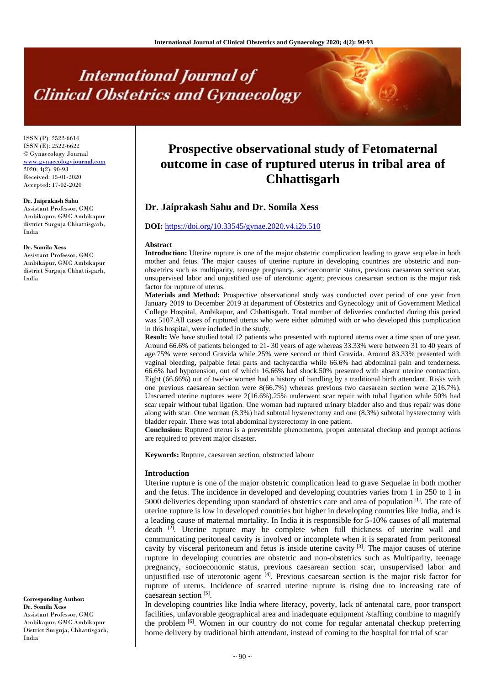# **International Journal of Clinical Obstetrics and Gynaecology**

ISSN (P): 2522-6614 ISSN (E): 2522-6622 © Gynaecology Journal [www.gynaecologyjournal.com](http://www.gynaecologyjournal.com/) 2020; 4(2): 90-93 Received: 15-01-2020 Accepted: 17-02-2020

#### **Dr. Jaiprakash Sahu**

Assistant Professor, GMC Ambikapur, GMC Ambikapur district Surguja Chhattisgarh, India

#### **Dr. Somila Xess**

Assistant Professor, GMC Ambikapur, GMC Ambikapur district Surguja Chhattisgarh, India

**Corresponding Author: Dr. Somila Xess** Assistant Professor, GMC Ambikapur, GMC Ambikapur District Surguja, Chhattisgarh, India

## **Prospective observational study of Fetomaternal outcome in case of ruptured uterus in tribal area of Chhattisgarh**

## **Dr. Jaiprakash Sahu and Dr. Somila Xess**

## **DOI:** <https://doi.org/10.33545/gynae.2020.v4.i2b.510>

#### **Abstract**

**Introduction:** Uterine rupture is one of the major obstetric complication leading to grave sequelae in both mother and fetus. The major causes of uterine rupture in developing countries are obstetric and nonobstetrics such as multiparity, teenage pregnancy, socioeconomic status, previous caesarean section scar, unsupervised labor and unjustified use of uterotonic agent; previous caesarean section is the major risk factor for rupture of uterus.

**Materials and Method:** Prospective observational study was conducted over period of one year from January 2019 to December 2019 at department of Obstetrics and Gynecology unit of Government Medical College Hospital, Ambikapur, and Chhattisgarh. Total number of deliveries conducted during this period was 5107.All cases of ruptured uterus who were either admitted with or who developed this complication in this hospital, were included in the study.

**Result:** We have studied total 12 patients who presented with ruptured uterus over a time span of one year. Around 66.6% of patients belonged to 21- 30 years of age whereas 33.33% were between 31 to 40 years of age.75% were second Gravida while 25% were second or third Gravida. Around 83.33% presented with vaginal bleeding, palpable fetal parts and tachycardia while 66.6% had abdominal pain and tenderness. 66.6% had hypotension, out of which 16.66% had shock.50% presented with absent uterine contraction. Eight (66.66%) out of twelve women had a history of handling by a traditional birth attendant. Risks with one previous caesarean section were 8(66.7%) whereas previous two caesarean section were 2(16.7%). Unscarred uterine ruptures were 2(16.6%).25% underwent scar repair with tubal ligation while 50% had scar repair without tubal ligation. One woman had ruptured urinary bladder also and thus repair was done along with scar. One woman (8.3%) had subtotal hysterectomy and one (8.3%) subtotal hysterectomy with bladder repair. There was total abdominal hysterectomy in one patient.

**Conclusion:** Ruptured uterus is a preventable phenomenon, proper antenatal checkup and prompt actions are required to prevent major disaster.

**Keywords:** Rupture, caesarean section, obstructed labour

#### **Introduction**

Uterine rupture is one of the major obstetric complication lead to grave Sequelae in both mother and the fetus. The incidence in developed and developing countries varies from 1 in 250 to 1 in 5000 deliveries depending upon standard of obstetrics care and area of population<sup>[1]</sup>. The rate of uterine rupture is low in developed countries but higher in developing countries like India, and is a leading cause of maternal mortality. In India it is responsible for 5-10% causes of all maternal death <sup>[2]</sup>. Uterine rupture may be complete when full thickness of uterine wall and communicating peritoneal cavity is involved or incomplete when it is separated from peritoneal cavity by visceral peritoneum and fetus is inside uterine cavity <sup>[3]</sup>. The major causes of uterine rupture in developing countries are obstetric and non-obstetrics such as Multiparity, teenage pregnancy, socioeconomic status, previous caesarean section scar, unsupervised labor and unjustified use of uterotonic agent [4]. Previous caesarean section is the major risk factor for rupture of uterus. Incidence of scarred uterine rupture is rising due to increasing rate of caesarean section<sup>[5]</sup>.

In developing countries like India where literacy, poverty, lack of antenatal care, poor transport facilities, unfavorable geographical area and inadequate equipment /staffing combine to magnify the problem <sup>[6]</sup>. Women in our country do not come for regular antenatal checkup preferring home delivery by traditional birth attendant, instead of coming to the hospital for trial of scar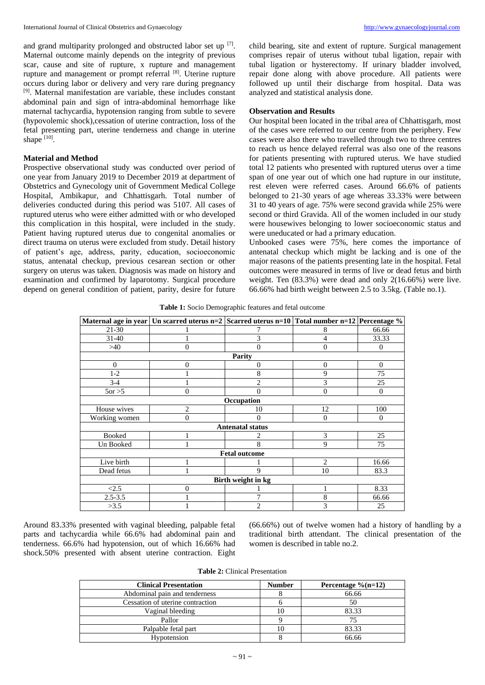and grand multiparity prolonged and obstructed labor set up [7]. Maternal outcome mainly depends on the integrity of previous scar, cause and site of rupture, x rupture and management rupture and management or prompt referral [8]. Uterine rupture occurs during labor or delivery and very rare during pregnancy [9] . Maternal manifestation are variable, these includes constant abdominal pain and sign of intra-abdominal hemorrhage like maternal tachycardia, hypotension ranging from subtle to severe (hypovolemic shock),cessation of uterine contraction, loss of the fetal presenting part, uterine tenderness and change in uterine shape  $^{[10]}$ .

## **Material and Method**

Prospective observational study was conducted over period of one year from January 2019 to December 2019 at department of Obstetrics and Gynecology unit of Government Medical College Hospital, Ambikapur, and Chhattisgarh. Total number of deliveries conducted during this period was 5107. All cases of ruptured uterus who were either admitted with or who developed this complication in this hospital, were included in the study. Patient having ruptured uterus due to congenital anomalies or direct trauma on uterus were excluded from study. Detail history of patient's age, address, parity, education, socioeconomic status, antenatal checkup, previous cesarean section or other surgery on uterus was taken. Diagnosis was made on history and examination and confirmed by laparotomy. Surgical procedure depend on general condition of patient, parity, desire for future child bearing, site and extent of rupture. Surgical management comprises repair of uterus without tubal ligation, repair with tubal ligation or hysterectomy. If urinary bladder involved, repair done along with above procedure. All patients were followed up until their discharge from hospital. Data was analyzed and statistical analysis done.

## **Observation and Results**

Our hospital been located in the tribal area of Chhattisgarh, most of the cases were referred to our centre from the periphery. Few cases were also there who travelled through two to three centres to reach us hence delayed referral was also one of the reasons for patients presenting with ruptured uterus. We have studied total 12 patients who presented with ruptured uterus over a time span of one year out of which one had rupture in our institute, rest eleven were referred cases. Around 66.6% of patients belonged to 21-30 years of age whereas 33.33% were between 31 to 40 years of age. 75% were second gravida while 25% were second or third Gravida. All of the women included in our study were housewives belonging to lower socioeconomic status and were uneducated or had a primary education.

Unbooked cases were 75%, here comes the importance of antenatal checkup which might be lacking and is one of the major reasons of the patients presenting late in the hospital. Fetal outcomes were measured in terms of live or dead fetus and birth weight. Ten (83.3%) were dead and only 2(16.66%) were live. 66.66% had birth weight between 2.5 to 3.5kg. (Table no.1).

**Table 1:** Socio Demographic features and fetal outcome

|                                     | Maternal age in year   Un scarred uterus n=2   Scarred uterus n=10   Total number n=12   Percentage % |             |                |                |  |  |  |
|-------------------------------------|-------------------------------------------------------------------------------------------------------|-------------|----------------|----------------|--|--|--|
| $21 - 30$                           |                                                                                                       |             | 8              | 66.66          |  |  |  |
| $31 - 40$                           |                                                                                                       | 3           | 4              | 33.33          |  |  |  |
| >40                                 | $\theta$                                                                                              | $\Omega$    | $\overline{0}$ | $\theta$       |  |  |  |
|                                     |                                                                                                       | Parity      |                |                |  |  |  |
| $\Omega$<br>$\theta$<br>0<br>0<br>0 |                                                                                                       |             |                |                |  |  |  |
| $1 - 2$                             |                                                                                                       | 8           | 9              | 75             |  |  |  |
| $3 - 4$                             |                                                                                                       | 2           | 3              | 25             |  |  |  |
| $5$ or $>5$                         | $\overline{0}$                                                                                        | 0           | $\overline{0}$ | $\mathbf{0}$   |  |  |  |
|                                     | Occupation                                                                                            |             |                |                |  |  |  |
| House wives                         | $\overline{2}$                                                                                        | 10          | 12             | 100            |  |  |  |
| Working women                       | $\overline{0}$                                                                                        | 0           | $\overline{0}$ | $\overline{0}$ |  |  |  |
| <b>Antenatal status</b>             |                                                                                                       |             |                |                |  |  |  |
| <b>Booked</b>                       |                                                                                                       |             | 3              | 25             |  |  |  |
| Un Booked                           |                                                                                                       | 8           | 9              | 75             |  |  |  |
| <b>Fetal outcome</b>                |                                                                                                       |             |                |                |  |  |  |
| Live birth                          |                                                                                                       |             | $\overline{2}$ | 16.66          |  |  |  |
| Dead fetus                          |                                                                                                       | $\mathbf Q$ | 10             | 83.3           |  |  |  |
| Birth weight in kg                  |                                                                                                       |             |                |                |  |  |  |
| <2.5                                | $\theta$                                                                                              |             | 1              | 8.33           |  |  |  |
| $2.5 - 3.5$                         |                                                                                                       |             | 8              | 66.66          |  |  |  |
| >3.5                                |                                                                                                       | 2           | 3              | 25             |  |  |  |

Around 83.33% presented with vaginal bleeding, palpable fetal parts and tachycardia while 66.6% had abdominal pain and tenderness. 66.6% had hypotension, out of which 16.66% had shock.50% presented with absent uterine contraction. Eight (66.66%) out of twelve women had a history of handling by a traditional birth attendant. The clinical presentation of the women is described in table no.2.

**Table 2:** Clinical Presentation

| <b>Clinical Presentation</b>     | <b>Number</b> | Percentage $\%$ (n=12) |
|----------------------------------|---------------|------------------------|
| Abdominal pain and tenderness    |               | 66.66                  |
| Cessation of uterine contraction |               | 50                     |
| Vaginal bleeding                 | 10            | 83.33                  |
| Pallor                           |               | 75                     |
| Palpable fetal part              | 10            | 83.33                  |
| Hypotension                      |               | 66.66                  |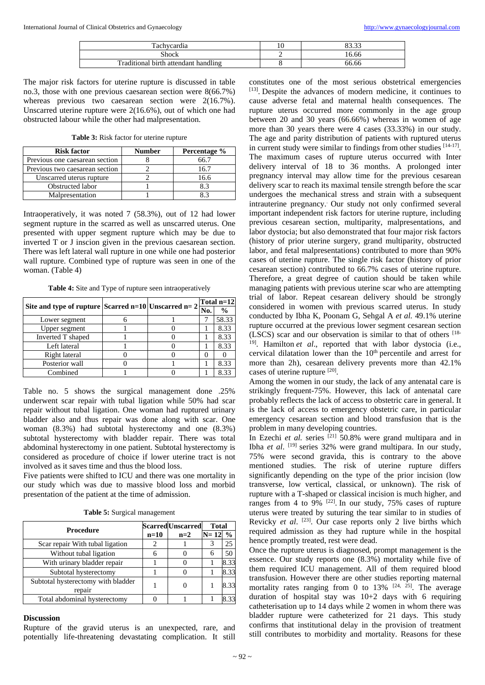| m<br>achveardía                      | 10 | ററ ററ<br> |
|--------------------------------------|----|-----------|
| Shock                                | ∸  | 16.66     |
| Traditional birth attendant handling |    | 66.66     |

The major risk factors for uterine rupture is discussed in table no.3, those with one previous caesarean section were 8(66.7%) whereas previous two caesarean section were 2(16.7%). Unscarred uterine rupture were 2(16.6%), out of which one had obstructed labour while the other had malpresentation.

**Table 3:** Risk factor for uterine rupture

| <b>Risk factor</b>             | <b>Number</b> | Percentage % |
|--------------------------------|---------------|--------------|
| Previous one caesarean section |               | 66 7         |
| Previous two caesarean section |               | 16.7         |
| Unscarred uterus rupture       |               | 16.6         |
| Obstructed labor               |               | ጸ 3          |
| Malpresentation                |               |              |

Intraoperatively, it was noted 7 (58.3%), out of 12 had lower segment rupture in the scarred as well as unscarred uterus. One presented with upper segment rupture which may be due to inverted T or J inscion given in the previous caesarean section. There was left lateral wall rupture in one while one had posterior wall rupture. Combined type of rupture was seen in one of the woman. (Table 4)

**Table 4:** Site and Type of rupture seen intraoperatively

| Site and type of rupture Scarred $n=10$ Unscarred $n=2$ |  | Total n=12 |               |
|---------------------------------------------------------|--|------------|---------------|
|                                                         |  | No.        | $\frac{6}{9}$ |
| Lower segment                                           |  |            | 58.33         |
| Upper segment                                           |  |            | 8.33          |
| Inverted T shaped                                       |  |            | 8.33          |
| Left lateral                                            |  |            | 8.33          |
| Right lateral                                           |  |            |               |
| Posterior wall                                          |  |            | 8.33          |
| Combined                                                |  |            | 8.33          |

Table no. 5 shows the surgical management done .25% underwent scar repair with tubal ligation while 50% had scar repair without tubal ligation. One woman had ruptured urinary bladder also and thus repair was done along with scar. One woman (8.3%) had subtotal hysterectomy and one (8.3%) subtotal hysterectomy with bladder repair. There was total abdominal hysterectomy in one patient. Subtotal hysterectomy is considered as procedure of choice if lower uterine tract is not involved as it saves time and thus the blood loss.

Five patients were shifted to ICU and there was one mortality in our study which was due to massive blood loss and morbid presentation of the patient at the time of admission.

|  |  | Table 5: Surgical management |
|--|--|------------------------------|
|--|--|------------------------------|

| <b>Procedure</b>                   |        | <b>Scarred Unscarred</b> | <b>Total</b> |               |
|------------------------------------|--------|--------------------------|--------------|---------------|
|                                    | $n=10$ | $n=2$                    | $N=12$       | $\frac{0}{0}$ |
| Scar repair With tubal ligation    |        |                          |              | 25            |
| Without tubal ligation             |        |                          | 6            | 50            |
| With urinary bladder repair        |        |                          |              | 8.33          |
| Subtotal hysterectomy              |        |                          |              | 8.33          |
| Subtotal hysterectomy with bladder |        |                          |              |               |
| repair                             |        |                          |              |               |
| Total abdominal hysterectomy       |        |                          |              |               |

## **Discussion**

Rupture of the gravid uterus is an unexpected, rare, and potentially life-threatening devastating complication. It still constitutes one of the most serious obstetrical emergencies [13]. Despite the advances of modern medicine, it continues to cause adverse fetal and maternal health consequences. The rupture uterus occurred more commonly in the age group between 20 and 30 years (66.66%) whereas in women of age more than 30 years there were 4 cases (33.33%) in our study. The age and parity distribution of patients with ruptured uterus in current study were similar to findings from other studies  $[14-17]$ . The maximum cases of rupture uterus occurred with Inter delivery interval of 18 to 36 months. A prolonged inter pregnancy interval may allow time for the previous cesarean delivery scar to reach its maximal tensile strength before the scar undergoes the mechanical stress and strain with a subsequent intrauterine pregnancy.. Our study not only confirmed several important independent risk factors for uterine rupture, including previous cesarean section, multiparity, malpresentations, and labor dystocia; but also demonstrated that four major risk factors (history of prior uterine surgery, grand multiparity, obstructed labor, and fetal malpresentations) contributed to more than 90% cases of uterine rupture. The single risk factor (history of prior cesarean section) contributed to 66.7% cases of uterine rupture. Therefore, a great degree of caution should be taken while managing patients with previous uterine scar who are attempting trial of labor. Repeat cesarean delivery should be strongly considered in women with previous scarred uterus. In study conducted by Ibha K, Poonam G, Sehgal A *et al.* 49.1% uterine rupture occurred at the previous lower segment cesarean section (LSCS) scar and our observation is similar to that of others [18- <sup>19]</sup>. Hamilton *et al.*, reported that with labor dystocia (i.e., cervical dilatation lower than the  $10<sup>th</sup>$  percentile and arrest for more than 2h), cesarean delivery prevents more than  $42.1\%$ cases of uterine rupture [20].

Among the women in our study, the lack of any antenatal care is strikingly frequent-75%. However, this lack of antenatal care probably reflects the lack of access to obstetric care in general. It is the lack of access to emergency obstetric care, in particular emergency cesarean section and blood transfusion that is the problem in many developing countries.

In Ezechi *et al.* series <sup>[21]</sup> 50.8% were grand multipara and in Ibha et al. <sup>[19]</sup> series 32% were grand multipara. In our study, 75% were second gravida, this is contrary to the above mentioned studies. The risk of uterine rupture differs significantly depending on the type of the prior incision (low transverse, low vertical, classical, or unknown). The risk of rupture with a T-shaped or classical incision is much higher, and ranges from 4 to 9%  $[22]$ . In our study, 75% cases of rupture uterus were treated by suturing the tear similar to in studies of Revicky *et al.* <sup>[23]</sup>. Our case reports only 2 live births which required admission as they had rupture while in the hospital hence promptly treated, rest were dead.

Once the rupture uterus is diagnosed, prompt management is the essence. Our study reports one (8.3%) mortality while five of them required ICU management. All of them required blood transfusion. However there are other studies reporting maternal mortality rates ranging from 0 to  $13\%$  <sup>[24, 25]</sup>. The average duration of hospital stay was 10+2 days with 6 requiring catheterisation up to 14 days while 2 women in whom there was bladder rupture were catheterized for 21 days. This study confirms that institutional delay in the provision of treatment still contributes to morbidity and mortality. Reasons for these